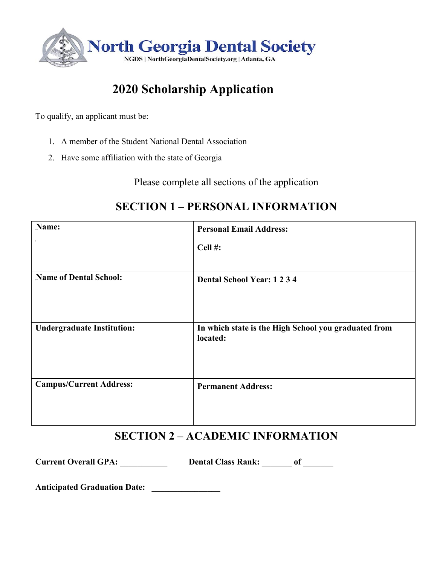

# **2020 Scholarship Application**

To qualify, an applicant must be:

- 1. A member of the Student National Dental Association
- 2. Have some affiliation with the state of Georgia

Please complete all sections of the application

| Name:                             | <b>Personal Email Address:</b>                                   |
|-----------------------------------|------------------------------------------------------------------|
|                                   | Cell#:                                                           |
| <b>Name of Dental School:</b>     | <b>Dental School Year: 1234</b>                                  |
| <b>Undergraduate Institution:</b> | In which state is the High School you graduated from<br>located: |
| <b>Campus/Current Address:</b>    | <b>Permanent Address:</b>                                        |

### **SECTION 1 – PERSONAL INFORMATION**

### **SECTION 2 – ACADEMIC INFORMATION**

**Current Overall GPA:** \_\_\_\_\_\_\_\_\_\_\_ **Dental Class Rank:** \_\_\_\_\_\_\_ **of** \_\_\_\_\_\_\_

**Anticipated Graduation Date:** \_\_\_\_\_\_\_\_\_\_\_\_\_\_\_\_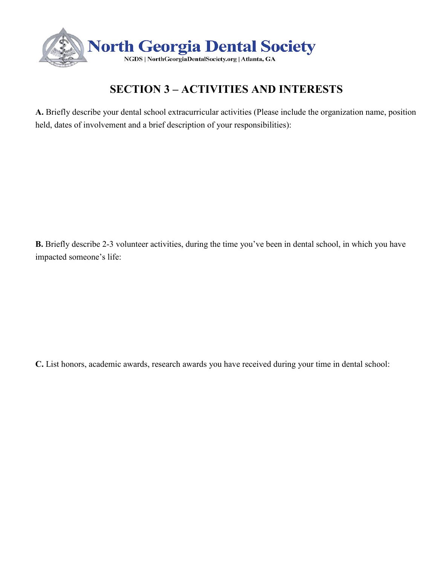

## **SECTION 3 – ACTIVITIES AND INTERESTS**

**A.** Briefly describe your dental school extracurricular activities (Please include the organization name, position held, dates of involvement and a brief description of your responsibilities):

**B.** Briefly describe 2-3 volunteer activities, during the time you've been in dental school, in which you have impacted someone's life:

**C.** List honors, academic awards, research awards you have received during your time in dental school: